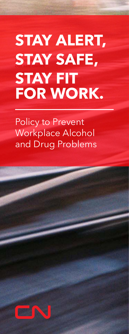# Preudict. **STAY SAFE, STAY ALERT, STAY FIT FOR WORK.**

Policy to Prevent Workplace Alcohol and Drug Problems

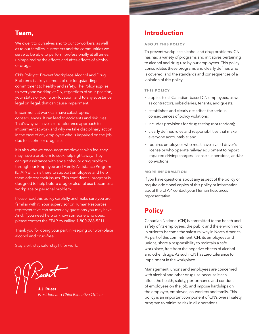### **Team,**

We owe it to ourselves and to our co-workers, as well as to our families, customers and the communities we serve to be able to perform professionally at all times, unimpaired by the effects and after-effects of alcohol or drugs.

CN's Policy to Prevent Workplace Alcohol and Drug Problems is a key element of our longstanding commitment to healthy and safety. The Policy applies to everyone working at CN, regardless of your position, your status or your work location, and to any substance, legal or illegal, that can cause impairment.

Impairment at work can have catastrophic consequences. It can lead to accidents and risk lives. That's why we have a zero-tolerance approach to impairment at work and why we take disciplinary action in the case of any employee who is impaired on the job due to alcohol or drug use.

It is also why we encourage employees who feel they may have a problem to seek help right away. They can get assistance with any alcohol or drug problem through our Employee and Family Assistance Program (EFAP) which is there to support employees and help them address their issues. This confidential program is designed to help before drug or alcohol use becomes a workplace or personal problem.

Please read this policy carefully and make sure you are familiar with it. Your supervisor or Human Resources representative can answer any questions you may have. And, if you need help or know someone who does, please contact the EFAP by calling 1-800-268-5211.

Thank you for doing your part in keeping our workplace alcohol and drug-free.

Stay alert, stay safe, stay fit for work.

**J.J. Ruest**

*President and Chief Executive Officer*

## **Introduction**

### **ABOUT THIS POLICY**

To prevent workplace alcohol and drug problems, CN has had a variety of programs and initiatives pertaining to alcohol and drug use by our employees. This policy consolidates these programs and clearly defines who is covered, and the standards and consequences of a violation of this policy.

### **THIS POLICY**

- **·** applies to all Canadian-based CN employees, as well as contractors, subsidiaries, tenants, and guests;
- **·** establishes and clearly describes the serious consequences of policy violations;
- **·** includes provisions for drug testing (not random);
- **·** clearly defines roles and responsibilities that make everyone accountable; and
- **·** requires employees who must have a valid driver's license or who operate railway equipment to report impaired driving charges, license suspensions, and/or convictions.

### **MORE INFORMATION**

If you have questions about any aspect of the policy or require additional copies of this policy or information about the EFAP, contact your Human Resources representative.

# **Policy**

Canadian National (CN) is committed to the health and safety of its employees, the public and the environment in order to become the safest railway in North America. As part of this commitment, CN, its employees and unions, share a responsibility to maintain a safe workplace, free from the negative effects of alcohol and other drugs. As such, CN has zero tolerance for impairment in the workplace.

Management, unions and employees are concerned with alcohol and other drug use because it can affect the health, safety, performance and conduct of employees on the job, and impose hardships on the employer, employee, co-workers and family. This policy is an important component of CN's overall safety program to minimize risk in all operations.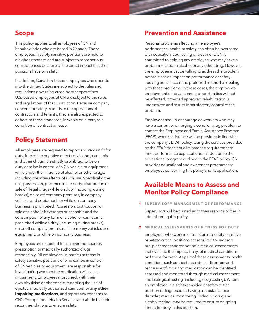### **Scope**

This policy applies to all employees of CN and its subsidiaries who are based in Canada. Those employees in safety sensitive positions are held to a higher standard and are subject to more serious consequences because of the direct impact that their positions have on safety.

In addition, Canadian-based employees who operate into the United States are subject to the rules and regulations governing cross-border operations. U.S.-based employees of CN are subject to the rules and regulations of that jurisdiction. Because company concern for safety extends to the operations of contractors and tenants, they are also expected to adhere to these standards, in whole or in part, as a condition of contract or lease.

# **Policy Statement**

All employees are required to report and remain fit for duty, free of the negative effects of alcohol, cannabis and other drugs. It is strictly prohibited to be on duty or to be in control of a CN vehicle or equipment while under the influence of alcohol or other drugs, including the after-effects of such use. Specifically, the use, possession, presence in the body, distribution or sale of illegal drugs while on duty (including during breaks), on or off company premises, in company vehicles and equipment, or while on company business is prohibited. Possession, distribution, or sale of alcoholic beverages or cannabis and the consumption of any form of alcohol or cannabis is prohibited while on duty (including during breaks), on or off company premises, in company vehicles and equipment, or while on company business.

Employees are expected to use over-the-counter, prescription or medically-authorized drugs responsibly. All employees, in particular those in safety-sensitive positions or who can be in control of CN vehicles or equipment, are responsible for investigating whether the medication will cause impairment. Employees must check with their own physician or pharmacist regarding the use of opiates, medically authorized cannabis, or **any other impairing medications,** and report any concerns to CN's Occupational Health Services and abide by their recommendations to ensure safety.

### **Prevention and Assistance**

Personal problems affecting an employee's performance, health or safety can often be overcome with education, counseling or treatment. CN is committed to helping any employee who may have a problem related to alcohol or any other drug. However, the employee must be willing to address the problem before it has an impact on performance or safety. Seeking assistance is the preferred method of dealing with these problems. In these cases, the employee's employment or advancement opportunities will not be affected, provided approved rehabilitation is undertaken and results in satisfactory control of the problem.

Employees should encourage co-workers who may have a current or emerging alcohol or drug problem to contact the Employee and Family Assistance Program (EFAP), where assistance will be provided in line with the company's EFAP policy. Using the services provided by the EFAP does not eliminate the requirement to meet performance expectations. In addition to the educational program outlined in the EFAP policy, CN provides educational and awareness programs for employees concerning this policy and its application.

# **Available Means to Assess and Monitor Policy Compliance**

**1 SUPERVISORY MANAGEMENT OF PERFORMANCE**

Supervisors will be trained as to their responsibilities in administering this policy.

**2 MEDICAL ASSESSMENTS OF FITNESS FOR DUTY**

Employees who work in or transfer into safety-sensitive or safety-critical positions are required to undergo pre-placement and/or periodic medical assessments that evaluate the impact, if any, of medical conditions on fitness for work. As part of these assessments, health conditions such as substance abuse disorders and/ or the use of impairing medication can be identified, assessed and monitored through medical assessment and biological testing (including drug testing). Where an employee in a safety sensitive or safety critical position is diagnosed as having a substance use disorder, medical monitoring, including drug and alcohol testing, may be required to ensure on going fitness for duty in this position.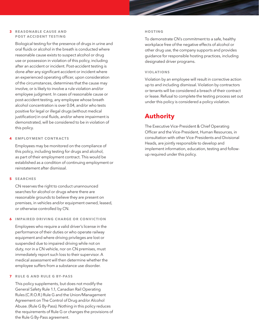#### **3 RE A SON A BLE C AUSE A ND POST ACCIDENT TESTING**

Biological testing for the presence of drugs in urine and oral fluids or alcohol in the breath is conducted where reasonable cause exists to suspect alcohol or drug use or possession in violation of this policy, including after an accident or incident. Post-accident testing is done after any significant accident or incident where an experienced operating officer, upon consideration of the circumstances, determines that the cause may involve, or is likely to involve a rule violation and/or employee judgment. In cases of reasonable cause or post-accident testing, any employee whose breath alcohol concentration is over 0.04, and/or who tests positive for legal or illegal drugs (without medical justification) in oral fluids, and/or where impairment is demonstrated, will be considered to be in violation of this policy.

### **4 EMPLOYMENT CONTRACTS**

Employees may be monitored on the compliance of this policy, including testing for drugs and alcohol, as part of their employment contract. This would be established as a condition of continuing employment or reinstatement after dismissal.

### **5 SEARCHES**

CN reserves the right to conduct unannounced searches for alcohol or drugs where there are reasonable grounds to believe they are present on premises, in vehicles and/or equipment owned, leased, or otherwise controlled by CN.

### **6 IMPAIRED DRIVING CHARGE OR CONVICTION**

Employees who require a valid driver's license in the performance of their duties or who operate railway equipment and where driving privileges are lost or suspended due to impaired driving while not on duty, nor in a CN vehicle, nor on CN premises, must immediately report such loss to their supervisor. A medical assessment will then determine whether the employee suffers from a substance use disorder.

### **7 RULE G AND RULE G BY-PASS**

This policy supplements, but does not modify the General Safety Rule 1.1, Canadian Rail Operating Rules (C.R.O.R.) Rule G and the Union/Management Agreement on The Control of Drug and/or Alcohol Abuse. (Rule G By-Pass). Nothing in this policy reduces the requirements of Rule G or changes the provisions of the Rule G By-Pass agreement.

#### **HOSTING**

To demonstrate CN's commitment to a safe, healthy workplace free of the negative effects of alcohol or other drug use, the company supports and provides guidance for responsible hosting practices, including designated driver programs.

### **VIOLATIONS**

Violation by an employee will result in corrective action up to and including dismissal. Violation by contractors or tenants will be considered a breach of their contract or lease. Refusal to complete the testing process set out under this policy is considered a policy violation.

### **Authority**

The Executive Vice-President & Chief Operating Officer and the Vice-President, Human Resources, in consultation with other Vice-Presidents and Divisional Heads, are jointly responsible to develop and implement information, education, testing and followup required under this policy.